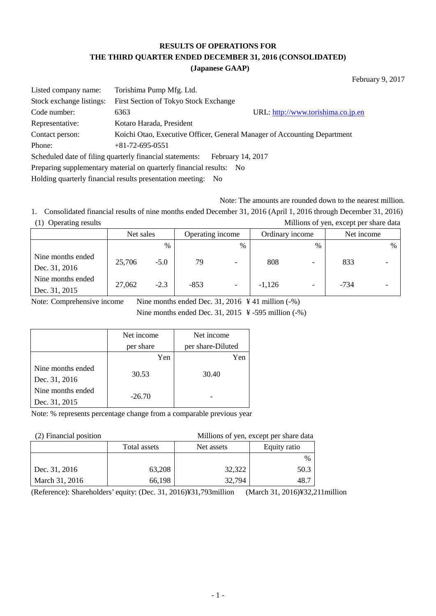# **RESULTS OF OPERATIONS FOR THE THIRD QUARTER ENDED DECEMBER 31, 2016 (CONSOLIDATED)**

#### **(Japanese GAAP)**

February 9, 2017

| Listed company name:                                                | Torishima Pump Mfg. Ltd.                                 |                                                                          |  |  |  |
|---------------------------------------------------------------------|----------------------------------------------------------|--------------------------------------------------------------------------|--|--|--|
| Stock exchange listings:                                            | First Section of Tokyo Stock Exchange                    |                                                                          |  |  |  |
| Code number:                                                        | 6363                                                     | URL: http://www.torishima.co.jp.en                                       |  |  |  |
| Representative:                                                     | Kotaro Harada, President                                 |                                                                          |  |  |  |
| Contact person:                                                     |                                                          | Koichi Otao, Executive Officer, General Manager of Accounting Department |  |  |  |
| Phone:                                                              | $+81-72-695-0551$                                        |                                                                          |  |  |  |
|                                                                     | Scheduled date of filing quarterly financial statements: | February 14, 2017                                                        |  |  |  |
| Preparing supplementary material on quarterly financial results: No |                                                          |                                                                          |  |  |  |
|                                                                     |                                                          |                                                                          |  |  |  |

Holding quarterly financial results presentation meeting: No

Note: The amounts are rounded down to the nearest million.

1. Consolidated financial results of nine months ended December 31, 2016 (April 1, 2016 through December 31, 2016) (1) Operating results Millions of yen, except per share data

| ັ                                  | Net sales |        | Operating income<br>Ordinary income |                          |          | Net income               |        |               |
|------------------------------------|-----------|--------|-------------------------------------|--------------------------|----------|--------------------------|--------|---------------|
|                                    |           | $\%$   |                                     | $\%$                     |          | $\%$                     |        | $\frac{0}{0}$ |
| Nine months ended<br>Dec. 31, 2016 | 25,706    | $-5.0$ | 79                                  | $\overline{\phantom{a}}$ | 808      |                          | 833    |               |
| Nine months ended<br>Dec. 31, 2015 | 27,062    | $-2.3$ | $-853$                              | $\overline{\phantom{a}}$ | $-1.126$ | $\overline{\phantom{0}}$ | $-734$ |               |

Note: Comprehensive income Nine months ended Dec. 31, 2016 \lang 41 million (-%)

Nine months ended Dec. 31, 2015 ¥ -595 million (-%)

|                   | Net income | Net income        |
|-------------------|------------|-------------------|
|                   | per share  | per share-Diluted |
|                   | Yen        | Yen               |
| Nine months ended | 30.53      | 30.40             |
| Dec. 31, 2016     |            |                   |
| Nine months ended | $-26.70$   |                   |
| Dec. 31, 2015     |            |                   |

Note: % represents percentage change from a comparable previous year

(2) Financial position Millions of yen, except per share data

|                | Total assets | Net assets | Equity ratio |
|----------------|--------------|------------|--------------|
|                |              |            | $\%$         |
| Dec. 31, 2016  | 63,208       | 32,322     | 50.3         |
| March 31, 2016 | 66,198       | 32,794     | 48.7         |

(Reference): Shareholders' equity: (Dec. 31, 2016)¥31,793million (March 31, 2016)¥32,211million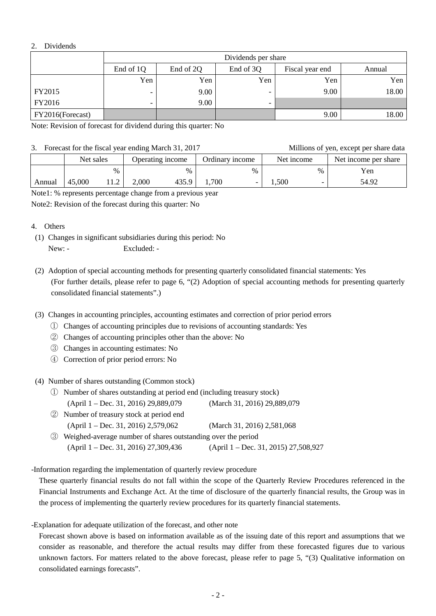### 2. Dividends

|                  | Dividends per share                                              |      |                          |      |       |  |  |
|------------------|------------------------------------------------------------------|------|--------------------------|------|-------|--|--|
|                  | End of 1Q<br>End of 2Q<br>End of 3Q<br>Fiscal year end<br>Annual |      |                          |      |       |  |  |
|                  | Yen                                                              | Yen  | Yen                      | Yen  | Yen   |  |  |
| FY2015           | -                                                                | 9.00 |                          | 9.00 | 18.00 |  |  |
| FY2016           |                                                                  | 9.00 | $\overline{\phantom{0}}$ |      |       |  |  |
| FY2016(Forecast) |                                                                  |      |                          | 9.00 | 18.00 |  |  |

Note: Revision of forecast for dividend during this quarter: No

#### 3. Forecast for the fiscal year ending March 31, 2017 Millions of yen, except per share data

|        | $\sigma$ . Tolecast for the fiscal year ending inarch $\sigma$ 1, $\omega$ 17 |      |                  |       |                 |      |            |      | TVIIIIOIIS OF VOII, CACODE DOF SHAFE GAIA |
|--------|-------------------------------------------------------------------------------|------|------------------|-------|-----------------|------|------------|------|-------------------------------------------|
|        | Net sales                                                                     |      | Operating income |       | Ordinary income |      | Net income |      | Net income per share                      |
|        |                                                                               | $\%$ |                  | $\%$  |                 | $\%$ |            | $\%$ | Yen                                       |
| Annual | 45,000                                                                        |      | 2,000            | 435.9 | .700            |      | .500       |      | 54.92                                     |

Note1: % represents percentage change from a previous year

Note2: Revision of the forecast during this quarter: No

#### 4. Others

- (1) Changes in significant subsidiaries during this period: No New: - Excluded: -
- (2) Adoption of special accounting methods for presenting quarterly consolidated financial statements: Yes (For further details, please refer to page 6, "(2) Adoption of special accounting methods for presenting quarterly consolidated financial statements".)
- (3) Changes in accounting principles, accounting estimates and correction of prior period errors
	- ① Changes of accounting principles due to revisions of accounting standards: Yes
	- ② Changes of accounting principles other than the above: No
	- ③ Changes in accounting estimates: No
	- ④ Correction of prior period errors: No

(4) Number of shares outstanding (Common stock)

- ① Number of shares outstanding at period end (including treasury stock) (April 1 – Dec. 31, 2016) 29,889,079 (March 31, 2016) 29,889,079
- ② Number of treasury stock at period end (April 1 – Dec. 31, 2016) 2,579,062 (March 31, 2016) 2,581,068
- ③ Weighed-average number of shares outstanding over the period (April 1 – Dec. 31, 2016) 27,309,436 (April 1 – Dec. 31, 2015) 27,508,927

-Information regarding the implementation of quarterly review procedure

 These quarterly financial results do not fall within the scope of the Quarterly Review Procedures referenced in the Financial Instruments and Exchange Act. At the time of disclosure of the quarterly financial results, the Group was in the process of implementing the quarterly review procedures for its quarterly financial statements.

-Explanation for adequate utilization of the forecast, and other note

 Forecast shown above is based on information available as of the issuing date of this report and assumptions that we consider as reasonable, and therefore the actual results may differ from these forecasted figures due to various unknown factors. For matters related to the above forecast, please refer to page 5, "(3) Qualitative information on consolidated earnings forecasts".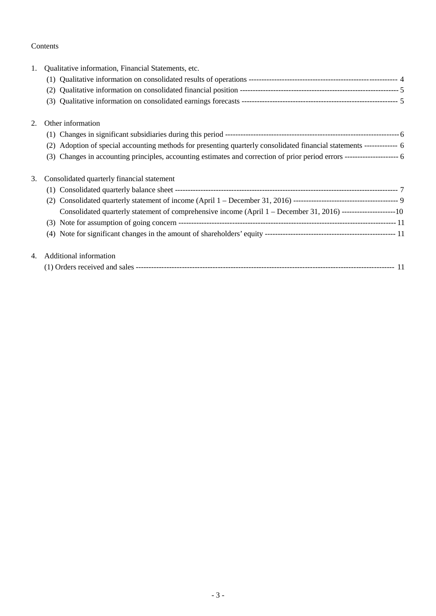# Contents

| 1. | Qualitative information, Financial Statements, etc.                                                                             |  |
|----|---------------------------------------------------------------------------------------------------------------------------------|--|
|    |                                                                                                                                 |  |
|    |                                                                                                                                 |  |
|    | (3)                                                                                                                             |  |
| 2. | Other information                                                                                                               |  |
|    |                                                                                                                                 |  |
|    | Adoption of special accounting methods for presenting quarterly consolidated financial statements ------------- 6<br>(2)        |  |
|    | Changes in accounting principles, accounting estimates and correction of prior period errors ------------------------- 6<br>(3) |  |
| 3. | Consolidated quarterly financial statement                                                                                      |  |
|    |                                                                                                                                 |  |
|    | (2)                                                                                                                             |  |
|    | Consolidated quarterly statement of comprehensive income (April 1 – December 31, 2016) ---------------------10                  |  |
|    |                                                                                                                                 |  |
|    |                                                                                                                                 |  |
| 4. | Additional information                                                                                                          |  |
|    |                                                                                                                                 |  |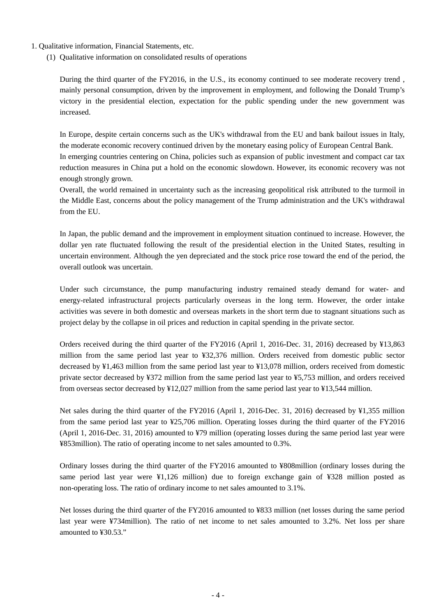- 1. Qualitative information, Financial Statements, etc.
	- (1) Qualitative information on consolidated results of operations

During the third quarter of the FY2016, in the U.S., its economy continued to see moderate recovery trend , mainly personal consumption, driven by the improvement in employment, and following the Donald Trump's victory in the presidential election, expectation for the public spending under the new government was increased.

In Europe, despite certain concerns such as the UK's withdrawal from the EU and bank bailout issues in Italy, the moderate economic recovery continued driven by the monetary easing policy of European Central Bank. In emerging countries centering on China, policies such as expansion of public investment and compact car tax reduction measures in China put a hold on the economic slowdown. However, its economic recovery was not enough strongly grown.

Overall, the world remained in uncertainty such as the increasing geopolitical risk attributed to the turmoil in the Middle East, concerns about the policy management of the Trump administration and the UK's withdrawal from the EU.

In Japan, the public demand and the improvement in employment situation continued to increase. However, the dollar yen rate fluctuated following the result of the presidential election in the United States, resulting in uncertain environment. Although the yen depreciated and the stock price rose toward the end of the period, the overall outlook was uncertain.

Under such circumstance, the pump manufacturing industry remained steady demand for water- and energy-related infrastructural projects particularly overseas in the long term. However, the order intake activities was severe in both domestic and overseas markets in the short term due to stagnant situations such as project delay by the collapse in oil prices and reduction in capital spending in the private sector.

Orders received during the third quarter of the FY2016 (April 1, 2016-Dec. 31, 2016) decreased by ¥13,863 million from the same period last year to ¥32,376 million. Orders received from domestic public sector decreased by ¥1,463 million from the same period last year to ¥13,078 million, orders received from domestic private sector decreased by ¥372 million from the same period last year to ¥5,753 million, and orders received from overseas sector decreased by ¥12,027 million from the same period last year to ¥13,544 million.

Net sales during the third quarter of the FY2016 (April 1, 2016-Dec. 31, 2016) decreased by ¥1,355 million from the same period last year to ¥25,706 million. Operating losses during the third quarter of the FY2016 (April 1, 2016-Dec. 31, 2016) amounted to ¥79 million (operating losses during the same period last year were ¥853million). The ratio of operating income to net sales amounted to 0.3%.

Ordinary losses during the third quarter of the FY2016 amounted to ¥808million (ordinary losses during the same period last year were ¥1,126 million) due to foreign exchange gain of ¥328 million posted as non-operating loss. The ratio of ordinary income to net sales amounted to 3.1%.

Net losses during the third quarter of the FY2016 amounted to ¥833 million (net losses during the same period last year were ¥734million). The ratio of net income to net sales amounted to 3.2%. Net loss per share amounted to ¥30.53."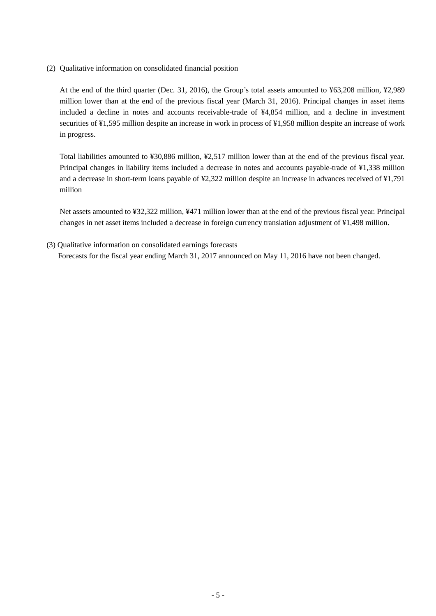(2) Qualitative information on consolidated financial position

At the end of the third quarter (Dec. 31, 2016), the Group's total assets amounted to ¥63,208 million, ¥2,989 million lower than at the end of the previous fiscal year (March 31, 2016). Principal changes in asset items included a decline in notes and accounts receivable-trade of ¥4,854 million, and a decline in investment securities of ¥1,595 million despite an increase in work in process of ¥1,958 million despite an increase of work in progress.

Total liabilities amounted to ¥30,886 million, ¥2,517 million lower than at the end of the previous fiscal year. Principal changes in liability items included a decrease in notes and accounts payable-trade of ¥1,338 million and a decrease in short-term loans payable of ¥2,322 million despite an increase in advances received of ¥1,791 million

Net assets amounted to ¥32,322 million, ¥471 million lower than at the end of the previous fiscal year. Principal changes in net asset items included a decrease in foreign currency translation adjustment of ¥1,498 million.

(3) Qualitative information on consolidated earnings forecasts Forecasts for the fiscal year ending March 31, 2017 announced on May 11, 2016 have not been changed.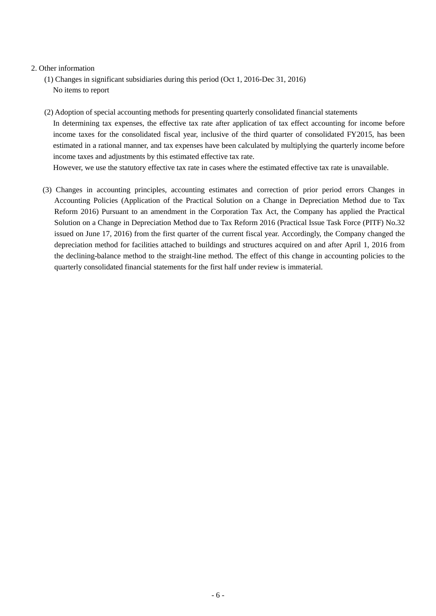#### 2. Other information

- (1) Changes in significant subsidiaries during this period (Oct 1, 2016-Dec 31, 2016) No items to report
- (2) Adoption of special accounting methods for presenting quarterly consolidated financial statements In determining tax expenses, the effective tax rate after application of tax effect accounting for income before income taxes for the consolidated fiscal year, inclusive of the third quarter of consolidated FY2015, has been estimated in a rational manner, and tax expenses have been calculated by multiplying the quarterly income before income taxes and adjustments by this estimated effective tax rate.

However, we use the statutory effective tax rate in cases where the estimated effective tax rate is unavailable.

(3) Changes in accounting principles, accounting estimates and correction of prior period errors Changes in Accounting Policies (Application of the Practical Solution on a Change in Depreciation Method due to Tax Reform 2016) Pursuant to an amendment in the Corporation Tax Act, the Company has applied the Practical Solution on a Change in Depreciation Method due to Tax Reform 2016 (Practical Issue Task Force (PITF) No.32 issued on June 17, 2016) from the first quarter of the current fiscal year. Accordingly, the Company changed the depreciation method for facilities attached to buildings and structures acquired on and after April 1, 2016 from the declining-balance method to the straight-line method. The effect of this change in accounting policies to the quarterly consolidated financial statements for the first half under review is immaterial.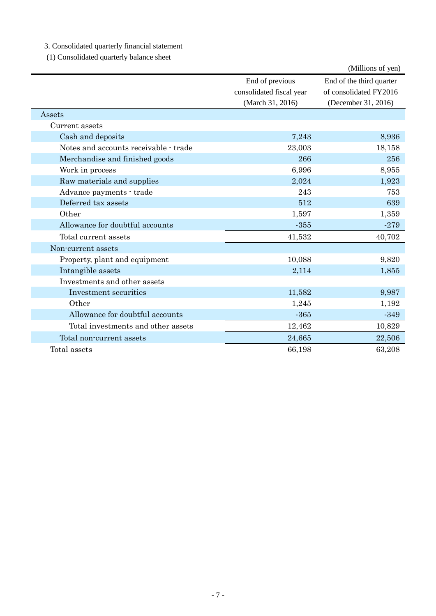3. Consolidated quarterly financial statement

(1) Consolidated quarterly balance sheet

|                                       |                          | (Millions of yen)        |
|---------------------------------------|--------------------------|--------------------------|
|                                       | End of previous          | End of the third quarter |
|                                       | consolidated fiscal year | of consolidated FY2016   |
|                                       | (March 31, 2016)         | (December 31, 2016)      |
| Assets                                |                          |                          |
| Current assets                        |                          |                          |
| Cash and deposits                     | 7,243                    | 8,936                    |
| Notes and accounts receivable - trade | 23,003                   | 18,158                   |
| Merchandise and finished goods        | 266                      | 256                      |
| Work in process                       | 6,996                    | 8,955                    |
| Raw materials and supplies            | 2,024                    | 1,923                    |
| Advance payments - trade              | 243                      | 753                      |
| Deferred tax assets                   | 512                      | 639                      |
| Other                                 | 1,597                    | 1,359                    |
| Allowance for doubtful accounts       | $-355$                   | $-279$                   |
| Total current assets                  | 41,532                   | 40,702                   |
| Non-current assets                    |                          |                          |
| Property, plant and equipment         | 10,088                   | 9,820                    |
| Intangible assets                     | 2,114                    | 1,855                    |
| Investments and other assets          |                          |                          |
| Investment securities                 | 11,582                   | 9,987                    |
| Other                                 | 1,245                    | 1,192                    |
| Allowance for doubtful accounts       | $-365$                   | $-349$                   |
| Total investments and other assets    | 12,462                   | 10,829                   |
| Total non-current assets              | 24,665                   | 22,506                   |
| Total assets                          | 66,198                   | 63,208                   |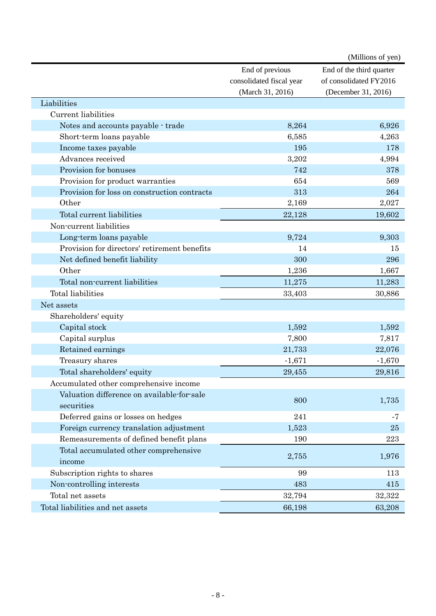|                                              |                          | (Millions of yen)        |
|----------------------------------------------|--------------------------|--------------------------|
|                                              | End of previous          | End of the third quarter |
|                                              | consolidated fiscal year | of consolidated FY2016   |
|                                              | (March 31, 2016)         | (December 31, 2016)      |
| Liabilities                                  |                          |                          |
| Current liabilities                          |                          |                          |
| Notes and accounts payable - trade           | 8,264                    | 6,926                    |
| Short-term loans payable                     | 6,585                    | 4,263                    |
| Income taxes payable                         | 195                      | 178                      |
| Advances received                            | 3,202                    | 4,994                    |
| Provision for bonuses                        | 742                      | 378                      |
| Provision for product warranties             | 654                      | 569                      |
| Provision for loss on construction contracts | 313                      | 264                      |
| Other                                        | 2,169                    | 2,027                    |
| Total current liabilities                    | 22,128                   | 19,602                   |
| Non-current liabilities                      |                          |                          |
| Long-term loans payable                      | 9,724                    | 9,303                    |
| Provision for directors' retirement benefits | 14                       | 15                       |
| Net defined benefit liability                | 300                      | 296                      |
| Other                                        | 1,236                    | 1,667                    |
| Total non-current liabilities                | 11,275                   | 11,283                   |
| Total liabilities                            | 33,403                   | 30,886                   |
| Net assets                                   |                          |                          |
| Shareholders' equity                         |                          |                          |
| Capital stock                                | 1,592                    | 1,592                    |
| Capital surplus                              | 7,800                    | 7,817                    |
| Retained earnings                            | 21,733                   | 22,076                   |
| Treasury shares                              | $-1,671$                 | $-1,670$                 |
| Total shareholders' equity                   | 29,455                   | 29,816                   |
| Accumulated other comprehensive income       |                          |                          |
| Valuation difference on available-for-sale   |                          |                          |
| securities                                   | 800                      | 1,735                    |
| Deferred gains or losses on hedges           | 241                      | -7                       |
| Foreign currency translation adjustment      | 1,523                    | 25                       |
| Remeasurements of defined benefit plans      | 190                      | 223                      |
| Total accumulated other comprehensive        |                          |                          |
| income                                       | 2,755                    | 1,976                    |
| Subscription rights to shares                | 99                       | 113                      |
| Non-controlling interests                    | 483                      | 415                      |
| Total net assets                             | 32,794                   | 32,322                   |
| Total liabilities and net assets             | 66,198                   | 63,208                   |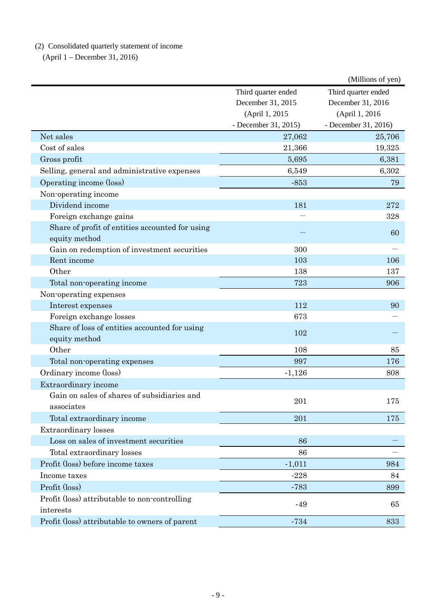(2) Consolidated quarterly statement of income

(April 1 – December 31, 2016)

|                                                 |                      | (Millions of yen)    |
|-------------------------------------------------|----------------------|----------------------|
|                                                 | Third quarter ended  | Third quarter ended  |
|                                                 | December 31, 2015    | December 31, 2016    |
|                                                 | (April 1, 2015       | (April 1, 2016       |
|                                                 | - December 31, 2015) | - December 31, 2016) |
| Net sales                                       | 27,062               | 25,706               |
| Cost of sales                                   | 21,366               | 19,325               |
| Gross profit                                    | 5,695                | 6,381                |
| Selling, general and administrative expenses    | 6,549                | 6,302                |
| Operating income (loss)                         | $-853$               | 79                   |
| Non-operating income                            |                      |                      |
| Dividend income                                 | 181                  | 272                  |
| Foreign exchange gains                          |                      | 328                  |
| Share of profit of entities accounted for using |                      | 60                   |
| equity method                                   |                      |                      |
| Gain on redemption of investment securities     | 300                  |                      |
| Rent income                                     | 103                  | 106                  |
| Other                                           | 138                  | 137                  |
| Total non-operating income                      | 723                  | 906                  |
| Non-operating expenses                          |                      |                      |
| Interest expenses                               | 112                  | 90                   |
| Foreign exchange losses                         | 673                  |                      |
| Share of loss of entities accounted for using   | 102                  |                      |
| equity method                                   |                      |                      |
| Other                                           | 108                  | 85                   |
| Total non-operating expenses                    | 997                  | 176                  |
| Ordinary income (loss)                          | $-1,126$             | 808                  |
| Extraordinary income                            |                      |                      |
| Gain on sales of shares of subsidiaries and     | 201                  | 175                  |
| associates                                      |                      |                      |
| Total extraordinary income                      | 201                  | 175                  |
| <b>Extraordinary</b> losses                     |                      |                      |
| Loss on sales of investment securities          | 86                   |                      |
| Total extraordinary losses                      | 86                   |                      |
| Profit (loss) before income taxes               | $-1,011$             | 984                  |
| Income taxes                                    | $-228$               | 84                   |
| Profit (loss)                                   | $-783$               | 899                  |
| Profit (loss) attributable to non-controlling   |                      |                      |
| interests                                       | $-49$                | 65                   |
| Profit (loss) attributable to owners of parent  | $-734$               | 833                  |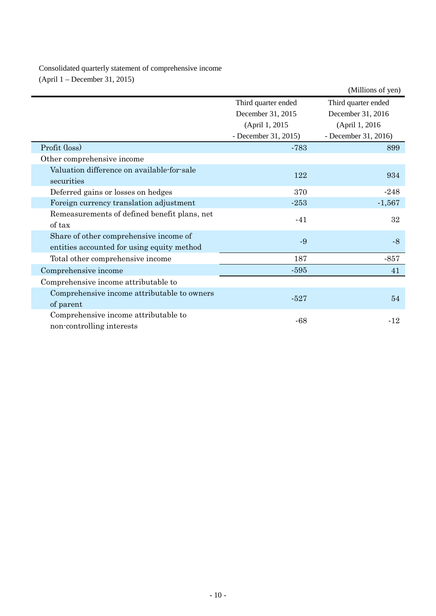Consolidated quarterly statement of comprehensive income (April 1 – December 31, 2015)

|                                              |                      | (Millions of yen)    |  |
|----------------------------------------------|----------------------|----------------------|--|
|                                              | Third quarter ended  | Third quarter ended  |  |
|                                              | December 31, 2015    | December 31, 2016    |  |
|                                              | (April 1, 2015)      | (April 1, 2016)      |  |
|                                              | - December 31, 2015) | - December 31, 2016) |  |
| Profit (loss)                                | $-783$               | 899                  |  |
| Other comprehensive income                   |                      |                      |  |
| Valuation difference on available-for-sale   | 122                  | 934                  |  |
| securities                                   |                      |                      |  |
| Deferred gains or losses on hedges           | 370                  | $-248$               |  |
| Foreign currency translation adjustment      | $-253$               | $-1,567$             |  |
| Remeasurements of defined benefit plans, net | $-41$                | 32                   |  |
| of tax                                       |                      |                      |  |
| Share of other comprehensive income of       | $-9$                 | $-8$                 |  |
| entities accounted for using equity method   |                      |                      |  |
| Total other comprehensive income             | 187                  | $-857$               |  |
| Comprehensive income                         | $-595$               | 41                   |  |
| Comprehensive income attributable to         |                      |                      |  |
| Comprehensive income attributable to owners  | $-527$               |                      |  |
| of parent                                    |                      | 54                   |  |
| Comprehensive income attributable to         | -68                  | $-12$                |  |
| non-controlling interests                    |                      |                      |  |